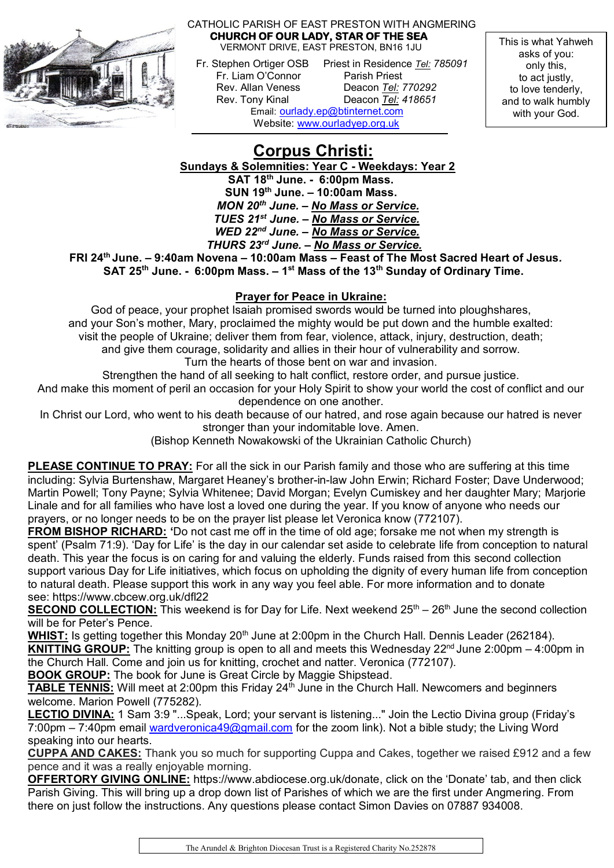

## CATHOLIC PARISH OF EAST PRESTON WITH ANGMERING  **CHURCH OF OUR LADY, STAR OF THE SEA**  VERMONT DRIVE, EAST PRESTON, BN16 1JU

- Fr. Liam O'Connor Parish Priest Website: [www.ourladyep.org.uk](http://www.ourladyep.org.uk/)<br>
Electron Website: www.ourladyep.org.uk
- Fr. Stephen Ortiger OSB Priest in Residence *Tel: 785091* Rev. Allan Veness Deacon *Tel: 770292* Rev. Tony Kinal Deacon *Tel: 418651* Email: [ourlady.ep@btinternet.com](mailto:ourlady.ep@btinternet.com)

This is what Yahweh asks of you: only this, to act justly, to love tenderly, and to walk humbly with your God.

## **Corpus Christi:**

 **Sundays & Solemnities: Year C - Weekdays: Year 2 SAT 18 th June. - 6:00pm Mass. SUN 19 th June.** *–* **10:00am Mass.** *MON 20th June. – No Mass or Service.*

 *TUES 21st June. – No Mass or Service.*

 *WED 22nd June.* **–** *No Mass or Service.*

 *THURS 23rd June. – No Mass or Service.*

 **FRI 24th June.** *–* **9:40am Novena** *–* **10:00am Mass – Feast of The Most Sacred Heart of Jesus***.*  **SAT 25th June. - 6:00pm Mass. – 1 st Mass of the 13th Sunday of Ordinary Time.**

## **Prayer for Peace in Ukraine:**

God of peace, your prophet Isaiah promised swords would be turned into ploughshares, and your Son's mother, Mary, proclaimed the mighty would be put down and the humble exalted: visit the people of Ukraine; deliver them from fear, violence, attack, injury, destruction, death; and give them courage, solidarity and allies in their hour of vulnerability and sorrow.

Turn the hearts of those bent on war and invasion.

Strengthen the hand of all seeking to halt conflict, restore order, and pursue justice. And make this moment of peril an occasion for your Holy Spirit to show your world the cost of conflict and our dependence on one another.

In Christ our Lord, who went to his death because of our hatred, and rose again because our hatred is never stronger than your indomitable love. Amen.

(Bishop Kenneth Nowakowski of the Ukrainian Catholic Church)

**PLEASE CONTINUE TO PRAY:** For all the sick in our Parish family and those who are suffering at this time including: Sylvia Burtenshaw, Margaret Heaney's brother-in-law John Erwin; Richard Foster; Dave Underwood; Martin Powell; Tony Payne; Sylvia Whitenee; David Morgan; Evelyn Cumiskey and her daughter Mary; Marjorie Linale and for all families who have lost a loved one during the year. If you know of anyone who needs our prayers, or no longer needs to be on the prayer list please let Veronica know (772107).

**FROM BISHOP RICHARD: '**Do not cast me off in the time of old age; forsake me not when my strength is spent' (Psalm 71:9). 'Day for Life' is the day in our calendar set aside to celebrate life from conception to natural death. This year the focus is on caring for and valuing the elderly. Funds raised from this second collection support various Day for Life initiatives, which focus on upholding the dignity of every human life from conception to natural death. Please support this work in any way you feel able. For more information and to donate see: <https://www.cbcew.org.uk/dfl22>

**SECOND COLLECTION:** This weekend is for Day for Life. Next weekend 25<sup>th</sup> – 26<sup>th</sup> June the second collection will be for Peter's Pence.

WHIST: Is getting together this Monday 20<sup>th</sup> June at 2:00pm in the Church Hall. Dennis Leader (262184).

KNITTING GROUP: The knitting group is open to all and meets this Wednesday 22<sup>nd</sup> June 2:00pm – 4:00pm in the Church Hall. Come and join us for knitting, crochet and natter. Veronica (772107).

**BOOK GROUP:** The book for June is Great Circle by Maggie Shipstead.

**TABLE TENNIS:** Will meet at 2:00pm this Friday 24<sup>th</sup> June in the Church Hall. Newcomers and beginners welcome. Marion Powell (775282).

**LECTIO DIVINA:** 1 Sam 3:9 "...Speak, Lord; your servant is listening..." Join the Lectio Divina group (Friday's  $7:00$ pm – 7:40pm email [wardveronica49@gmail.com](mailto:wardveronica49@gmail.com) for the zoom link). Not a bible study; the Living Word speaking into our hearts.

**CUPPA AND CAKES:** Thank you so much for supporting Cuppa and Cakes, together we raised £912 and a few pence and it was a really enjoyable morning.

**OFFERTORY GIVING ONLINE:** <https://www.abdiocese.org.uk/donate>, click on the 'Donate' tab, and then click Parish Giving. This will bring up a drop down list of Parishes of which we are the first under Angmering. From there on just follow the instructions. Any questions please contact Simon Davies on 07887 934008.

The Arundel & Brighton Diocesan Trust is a Registered Charity No.252878